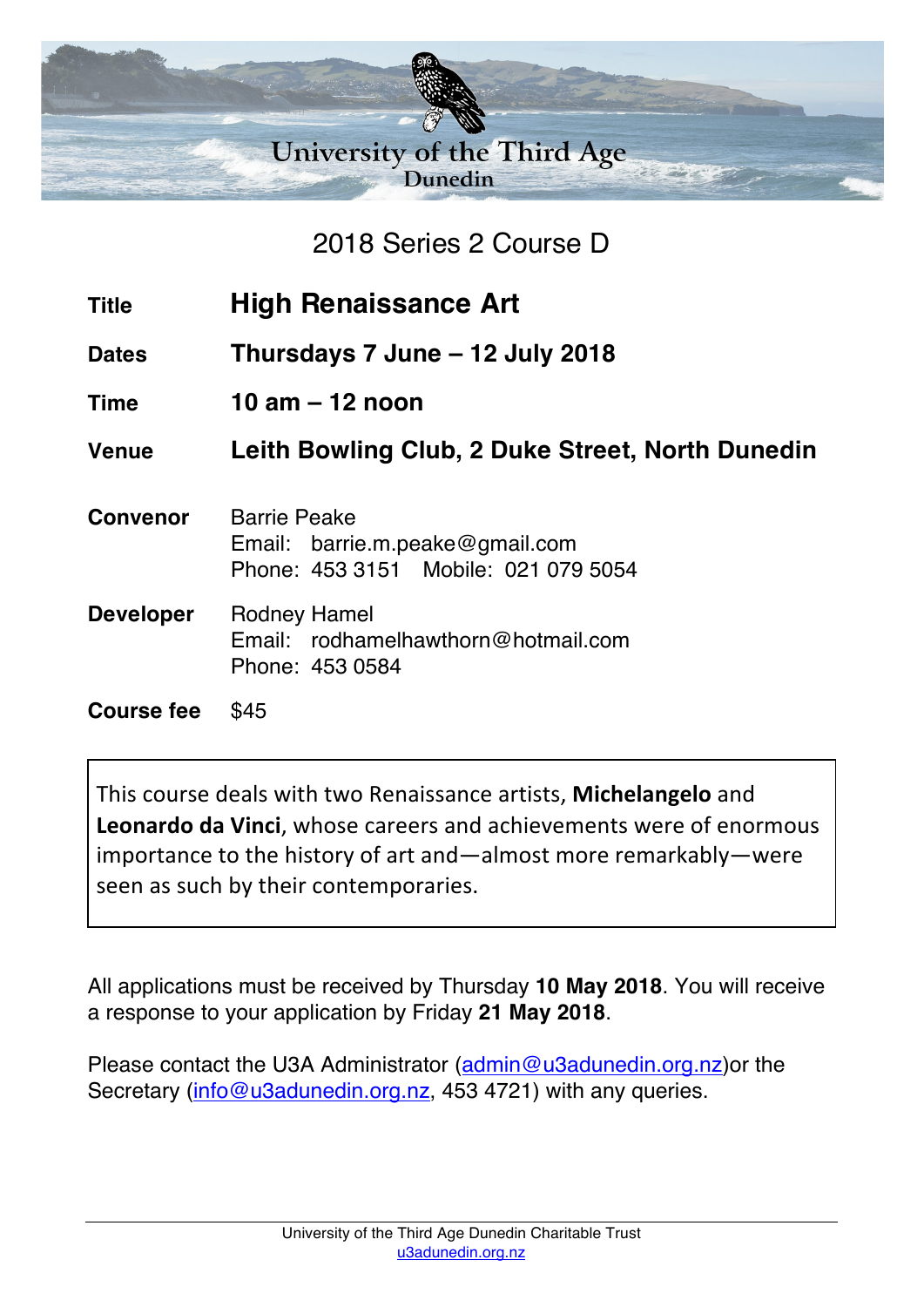

2018 Series 2 Course D

- **Title High Renaissance Art**
- **Dates Thursdays 7 June – 12 July 2018**
- **Time 10 am – 12 noon**

**Venue Leith Bowling Club, 2 Duke Street, North Dunedin**

- **Convenor** Barrie Peake Email: barrie.m.peake@gmail.com Phone: 453 3151 Mobile: 021 079 5054
- **Developer** Rodney Hamel Email: rodhamelhawthorn@hotmail.com Phone: 453 0584

**Course fee** \$45

This course deals with two Renaissance artists, **Michelangelo** and **Leonardo da Vinci**, whose careers and achievements were of enormous importance to the history of art and—almost more remarkably—were seen as such by their contemporaries.

All applications must be received by Thursday **10 May 2018**. You will receive a response to your application by Friday **21 May 2018**.

Please contact the U3A Administrator (admin@u3adunedin.org.nz) or the Secretary (info@u3adunedin.org.nz, 453 4721) with any queries.